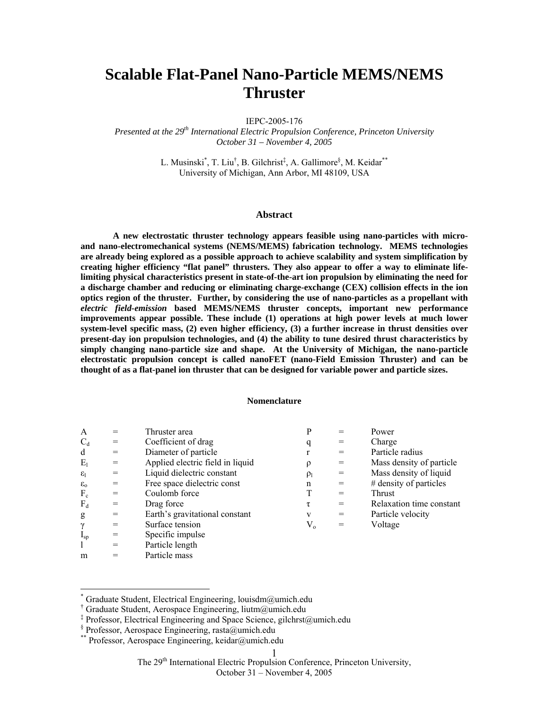# **Scalable Flat-Panel Nano-Particle MEMS/NEMS Thruster**

IEPC-2005-176

*Presented at the 29th International Electric Propulsion Conference, Princeton University October 31 – November 4, 2005*

> L. Musinski<sup>[\\*](#page-0-0)</sup>[,](#page-0-3) T. Liu<sup>†</sup>, B. Gilchrist<sup>‡</sup>, A. Gallimore<sup>§</sup>, M. Keidar<sup>\*\*</sup> University of Michigan, Ann Arbor, MI 48109, USA

### **Abstract**

**A new electrostatic thruster technology appears feasible using nano-particles with microand nano-electromechanical systems (NEMS/MEMS) fabrication technology. MEMS technologies are already being explored as a possible approach to achieve scalability and system simplification by creating higher efficiency "flat panel" thrusters. They also appear to offer a way to eliminate lifelimiting physical characteristics present in state-of-the-art ion propulsion by eliminating the need for a discharge chamber and reducing or eliminating charge-exchange (CEX) collision effects in the ion optics region of the thruster. Further, by considering the use of nano-particles as a propellant with**  *electric field-emission* **based MEMS/NEMS thruster concepts, important new performance improvements appear possible. These include (1) operations at high power levels at much lower system-level specific mass, (2) even higher efficiency, (3) a further increase in thrust densities over present-day ion propulsion technologies, and (4) the ability to tune desired thrust characteristics by simply changing nano-particle size and shape. At the University of Michigan, the nano-particle electrostatic propulsion concept is called nanoFET (nano-Field Emission Thruster) and can be thought of as a flat-panel ion thruster that can be designed for variable power and particle sizes.** 

### **Nomenclature**

| A                     |     | Thruster area                                                                 |          |     | Power                    |
|-----------------------|-----|-------------------------------------------------------------------------------|----------|-----|--------------------------|
| $C_d$                 | $=$ | Coefficient of drag                                                           | q        |     | Charge                   |
| d                     | $=$ | Diameter of particle                                                          |          |     | Particle radius          |
| $E_1$                 | $=$ | Applied electric field in liquid                                              |          | $=$ | Mass density of particle |
| $\varepsilon_{\rm l}$ | $=$ | Liquid dielectric constant                                                    | $\rho_l$ | $=$ | Mass density of liquid   |
| $\varepsilon_{0}$     | $=$ | Free space dielectric const                                                   | n        |     | $#$ density of particles |
| $F_c$                 | $=$ | Coulomb force                                                                 |          |     | <b>Thrust</b>            |
| $F_d$                 | $=$ | Drag force                                                                    | τ        |     | Relaxation time constant |
| g                     | $=$ | Earth's gravitational constant                                                | v        | $=$ | Particle velocity        |
| $\gamma$              | $=$ | Surface tension                                                               | $V_{o}$  |     | Voltage                  |
| $I_{sp}$              |     | Specific impulse                                                              |          |     |                          |
| $\blacksquare$        |     | $\mathbf{D}$ $\mathbf{I}$ $\mathbf{I}$ $\mathbf{I}$ $\mathbf{I}$ $\mathbf{I}$ |          |     |                          |

- $\vert$  = Particle length m = Particle mass
- 

 $\overline{a}$ 

The 29<sup>th</sup> International Electric Propulsion Conference, Princeton University,

<span id="page-0-0"></span><sup>\*</sup> Graduate Student, Electrical Engineering, louisdm@umich.edu

<span id="page-0-1"></span><sup>†</sup> Graduate Student, Aerospace Engineering, liutm@umich.edu

<span id="page-0-2"></span><sup>‡</sup> Professor, Electrical Engineering and Space Science, gilchrst@umich.edu

<span id="page-0-3"></span><sup>§</sup> Professor, Aerospace Engineering, rasta@umich.edu

<span id="page-0-4"></span><sup>\*\*</sup> Professor, Aerospace Engineering, keidar@umich.edu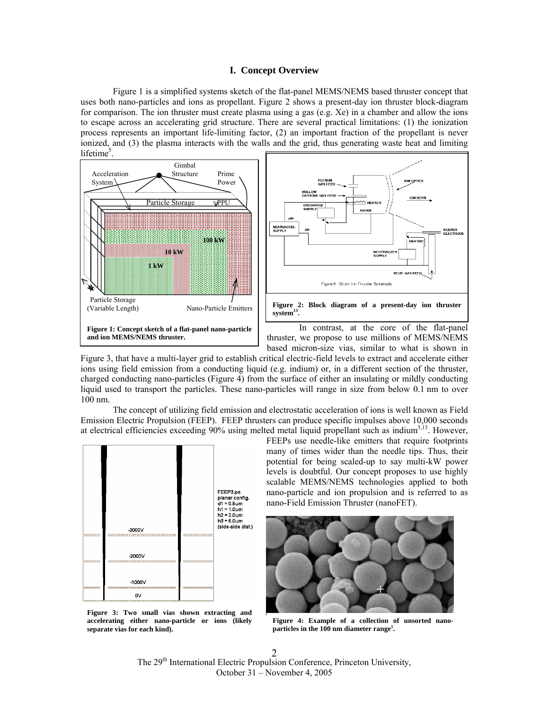# **I. Concept Overview**

[Figure 1 i](#page-0-0)s a simplified systems sketch of the flat-panel MEMS/NEMS based thruster concept that uses both nano-particles and ions as propellant. [Figure 2](#page-0-0) shows a present-day ion thruster block-diagram for comparison. The ion thruster must create plasma using a gas (e.g.  $Xe$ ) in a chamber and allow the ions to escape across an accelerating grid structure. There are several practical limitations: (1) the ionization process represents an important life-limiting factor, (2) an important fraction of the propellant is never ionized, and (3) the plasma interacts with the walls and the grid, thus generating waste heat and limiting lifetime<sup>5</sup>.





In contrast, at the core of the flat-panel thruster, we propose to use millions of MEMS/NEMS based micron-size vias, similar to what is shown in

[Figure 3,](#page-0-0) that have a multi-layer grid to establish critical electric-field levels to extract and accelerate either ions using field emission from a conducting liquid (e.g. indium) or, in a different section of the thruster, charged conducting nano-particles (Figure 4) from the surface of either an insulating or mildly conducting liquid used to transport the particles. These nano-particles will range in size from below 0.1 nm to over 100 nm.

The concept of utilizing field emission and electrostatic acceleration of ions is well known as Field Emission Electric Propulsion (FEEP). FEEP thrusters can produce specific impulses above 10,000 seconds at electrical efficiencies exceeding  $90\%$  using melted metal liquid propellant such as indium<sup>3,13</sup>. However,



**Figure 3: Two small vias shown extracting and accelerating either nano-particle or ions (likely separate vias for each kind).** 

FEEPs use needle-like emitters that require footprints many of times wider than the needle tips. Thus, their potential for being scaled-up to say multi-kW power levels is doubtful. Our concept proposes to use highly scalable MEMS/NEMS technologies applied to both nano-particle and ion propulsion and is referred to as nano-Field Emission Thruster (nanoFET).



**Figure 4: Example of a collection of unsorted nano**particles in the 100 nm diameter range<sup>1</sup>.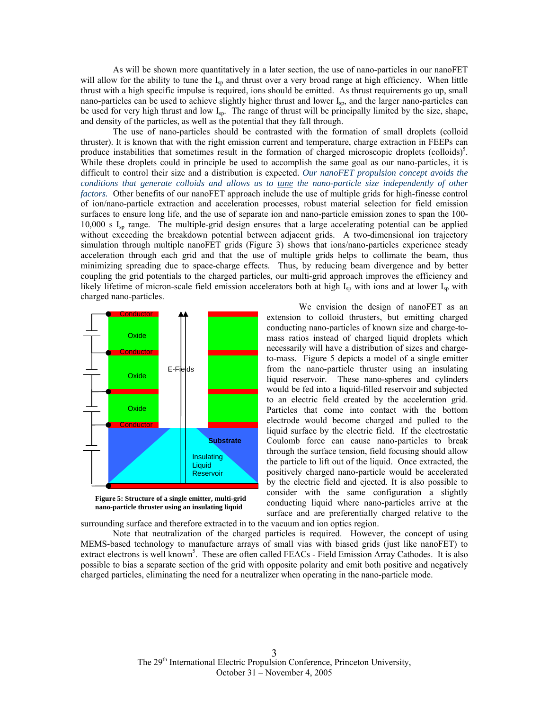As will be shown more quantitatively in a later section, the use of nano-particles in our nanoFET will allow for the ability to tune the I<sub>sp</sub> and thrust over a very broad range at high efficiency. When little thrust with a high specific impulse is required, ions should be emitted. As thrust requirements go up, small nano-particles can be used to achieve slightly higher thrust and lower I<sub>sp</sub>, and the larger nano-particles can be used for very high thrust and low Isp. The range of thrust will be principally limited by the size, shape, and density of the particles, as well as the potential that they fall through.

The use of nano-particles should be contrasted with the formation of small droplets (colloid thruster). It is known that with the right emission current and temperature, charge extraction in FEEPs can produce instabilities that sometimes result in the formation of charged microscopic droplets (colloids)<sup>5</sup>. While these droplets could in principle be used to accomplish the same goal as our nano-particles, it is difficult to control their size and a distribution is expected. *Our nanoFET propulsion concept avoids the conditions that generate colloids and allows us to tune the nano-particle size independently of other factors.* Other benefits of our nanoFET approach include the use of multiple grids for high-finesse control of ion/nano-particle extraction and acceleration processes, robust material selection for field emission surfaces to ensure long life, and the use of separate ion and nano-particle emission zones to span the 100- 10,000 s  $I_{\rm{sp}}$  range. The multiple-grid design ensures that a large accelerating potential can be applied without exceeding the breakdown potential between adjacent grids. A two-dimensional ion trajectory simulation through multiple nanoFET grids ([Figure 3\)](#page-0-0) shows that ions/nano-particles experience steady acceleration through each grid and that the use of multiple grids helps to collimate the beam, thus minimizing spreading due to space-charge effects. Thus, by reducing beam divergence and by better coupling the grid potentials to the charged particles, our multi-grid approach improves the efficiency and likely lifetime of micron-scale field emission accelerators both at high  $I_{sp}$  with ions and at lower  $I_{sp}$  with charged nano-particles.





We envision the design of nanoFET as an extension to colloid thrusters, but emitting charged conducting nano-particles of known size and charge-tomass ratios instead of charged liquid droplets which necessarily will have a distribution of sizes and chargeto-mass. Figure 5 depicts a model of a single emitter from the nano-particle thruster using an insulating liquid reservoir. These nano-spheres and cylinders would be fed into a liquid-filled reservoir and subjected to an electric field created by the acceleration grid. Particles that come into contact with the bottom electrode would become charged and pulled to the liquid surface by the electric field. If the electrostatic Coulomb force can cause nano-particles to break through the surface tension, field focusing should allow the particle to lift out of the liquid. Once extracted, the positively charged nano-particle would be accelerated by the electric field and ejected. It is also possible to consider with the same configuration a slightly conducting liquid where nano-particles arrive at the surface and are preferentially charged relative to the

surrounding surface and therefore extracted in to the vacuum and ion optics region.

Note that neutralization of the charged particles is required. However, the concept of using MEMS-based technology to manufacture arrays of small vias with biased grids (just like nanoFET) to extract electrons is well known<sup>5</sup>. These are often called FEACs - Field Emission Array Cathodes. It is also possible to bias a separate section of the grid with opposite polarity and emit both positive and negatively charged particles, eliminating the need for a neutralizer when operating in the nano-particle mode.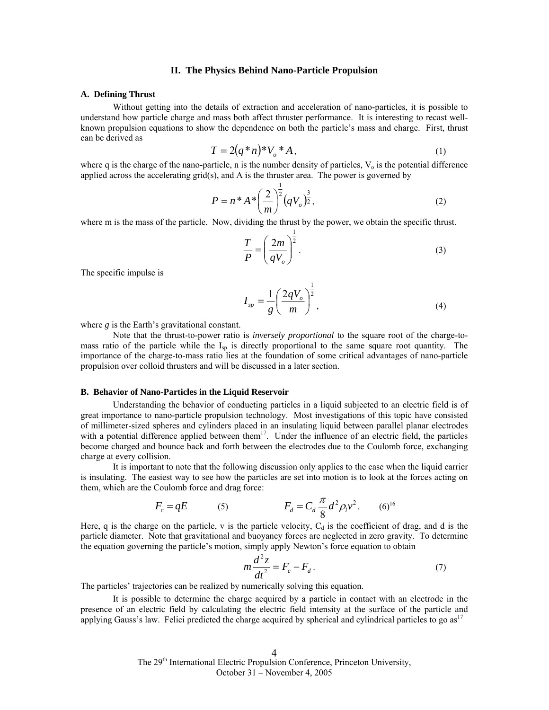# **II. The Physics Behind Nano-Particle Propulsion**

#### **A. Defining Thrust**

Without getting into the details of extraction and acceleration of nano-particles, it is possible to understand how particle charge and mass both affect thruster performance. It is interesting to recast wellknown propulsion equations to show the dependence on both the particle's mass and charge. First, thrust can be derived as

$$
T = 2(q*n)*V_o * A,
$$
 (1)

where q is the charge of the nano-particle, n is the number density of particles,  $V_0$  is the potential difference applied across the accelerating grid(s), and A is the thruster area. The power is governed by

$$
P = n^* A^* \left(\frac{2}{m}\right)^{\frac{1}{2}} \left(qV_o\right)^{\frac{3}{2}},\tag{2}
$$

where m is the mass of the particle. Now, dividing the thrust by the power, we obtain the specific thrust.

$$
\frac{T}{P} = \left(\frac{2m}{qV_o}\right)^{\frac{1}{2}}.
$$
\n(3)

The specific impulse is

$$
I_{sp} = \frac{1}{g} \left( \frac{2qV_o}{m} \right)^{\frac{1}{2}},
$$
 (4)

where *g* is the Earth's gravitational constant.

Note that the thrust-to-power ratio is *inversely proportional* to the square root of the charge-tomass ratio of the particle while the  $I_{\rm SD}$  is directly proportional to the same square root quantity. The importance of the charge-to-mass ratio lies at the foundation of some critical advantages of nano-particle propulsion over colloid thrusters and will be discussed in a later section.

#### **B. Behavior of Nano-Particles in the Liquid Reservoir**

Understanding the behavior of conducting particles in a liquid subjected to an electric field is of great importance to nano-particle propulsion technology. Most investigations of this topic have consisted of millimeter-sized spheres and cylinders placed in an insulating liquid between parallel planar electrodes with a potential difference applied between them<sup>17</sup>. Under the influence of an electric field, the particles become charged and bounce back and forth between the electrodes due to the Coulomb force, exchanging charge at every collision.

It is important to note that the following discussion only applies to the case when the liquid carrier is insulating. The easiest way to see how the particles are set into motion is to look at the forces acting on them, which are the Coulomb force and drag force:

$$
F_c = qE
$$
 (5)  $F_d = C_d \frac{\pi}{8} d^2 \rho_l v^2$ . (6)<sup>16</sup>

Here, q is the charge on the particle, v is the particle velocity,  $C_d$  is the coefficient of drag, and d is the particle diameter. Note that gravitational and buoyancy forces are neglected in zero gravity. To determine the equation governing the particle's motion, simply apply Newton's force equation to obtain

$$
m\frac{d^2z}{dt^2} = F_c - F_d.
$$
 (7)

The particles' trajectories can be realized by numerically solving this equation.

It is possible to determine the charge acquired by a particle in contact with an electrode in the presence of an electric field by calculating the electric field intensity at the surface of the particle and applying Gauss's law. Felici predicted the charge acquired by spherical and cylindrical particles to go as<sup>17</sup>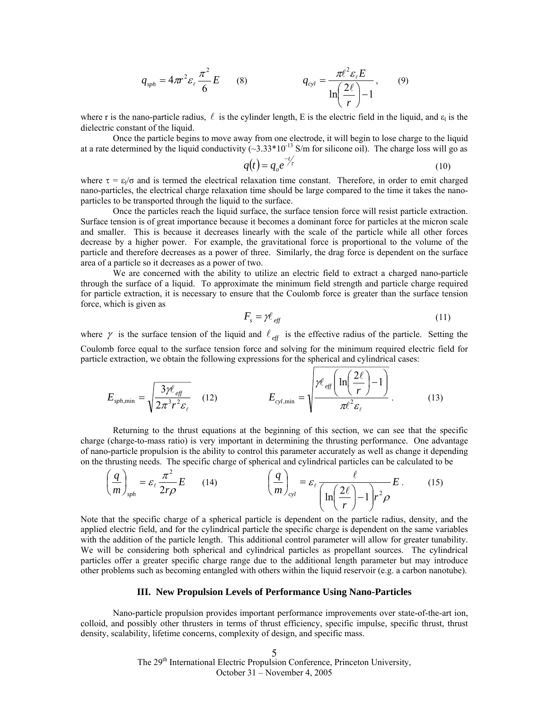$$
q_{sph} = 4\pi r^2 \varepsilon_\ell \frac{\pi^2}{6} E \qquad (8) \qquad q_{cyl} = \frac{\pi \ell^2 \varepsilon_\ell E}{\ln \left(\frac{2\ell}{r}\right) - 1}, \qquad (9)
$$

where r is the nano-particle radius,  $\ell$  is the cylinder length, E is the electric field in the liquid, and  $\varepsilon_1$  is the dielectric constant of the liquid.

Once the particle begins to move away from one electrode, it will begin to lose charge to the liquid at a rate determined by the liquid conductivity  $(\sim 3.33*10^{-13}$  S/m for silicone oil). The charge loss will go as

$$
q(t) = q_o e^{-t/\tau}
$$
 (10)

where  $\tau = \varepsilon \sqrt{\sigma}$  and is termed the electrical relaxation time constant. Therefore, in order to emit charged nano-particles, the electrical charge relaxation time should be large compared to the time it takes the nanoparticles to be transported through the liquid to the surface.

Once the particles reach the liquid surface, the surface tension force will resist particle extraction. Surface tension is of great importance because it becomes a dominant force for particles at the micron scale and smaller. This is because it decreases linearly with the scale of the particle while all other forces decrease by a higher power. For example, the gravitational force is proportional to the volume of the particle and therefore decreases as a power of three. Similarly, the drag force is dependent on the surface area of a particle so it decreases as a power of two.

We are concerned with the ability to utilize an electric field to extract a charged nano-particle through the surface of a liquid. To approximate the minimum field strength and particle charge required for particle extraction, it is necessary to ensure that the Coulomb force is greater than the surface tension force, which is given as

$$
F_s = \gamma \ell_{\text{eff}} \tag{11}
$$

where  $\gamma$  is the surface tension of the liquid and  $\ell_{\text{eff}}$  is the effective radius of the particle. Setting the Coulomb force equal to the surface tension force and solving for the minimum required electric field for particle extraction, we obtain the following expressions for the spherical and cylindrical cases:

$$
E_{\text{sph,min}} = \sqrt{\frac{3\mathcal{H}_{\text{eff}}}{2\pi^3 r^2 \varepsilon_{\ell}}} \qquad (12) \qquad E_{\text{cyl,min}} = \sqrt{\frac{\mathcal{H}_{\text{eff}}\left(\ln\left(\frac{2\ell}{r}\right) - 1\right)}{\pi \ell^2 \varepsilon_{\ell}}} \qquad (13)
$$

Returning to the thrust equations at the beginning of this section, we can see that the specific charge (charge-to-mass ratio) is very important in determining the thrusting performance. One advantage of nano-particle propulsion is the ability to control this parameter accurately as well as change it depending on the thrusting needs. The specific charge of spherical and cylindrical particles can be calculated to be

$$
\left(\frac{q}{m}\right)_{\text{sph}} = \varepsilon_{\ell} \frac{\pi^2}{2r\rho} E \qquad (14) \qquad \left(\frac{q}{m}\right)_{\text{cyl}} = \varepsilon_{\ell} \frac{\ell}{\left(\ln\left(\frac{2\ell}{r}\right) - 1\right) r^2 \rho} E \, . \qquad (15)
$$

Note that the specific charge of a spherical particle is dependent on the particle radius, density, and the applied electric field, and for the cylindrical particle the specific charge is dependent on the same variables with the addition of the particle length. This additional control parameter will allow for greater tunability. We will be considering both spherical and cylindrical particles as propellant sources. The cylindrical particles offer a greater specific charge range due to the additional length parameter but may introduce other problems such as becoming entangled with others within the liquid reservoir (e.g. a carbon nanotube).

# **III. New Propulsion Levels of Performance Using Nano-Particles**

Nano-particle propulsion provides important performance improvements over state-of-the-art ion, colloid, and possibly other thrusters in terms of thrust efficiency, specific impulse, specific thrust, thrust density, scalability, lifetime concerns, complexity of design, and specific mass.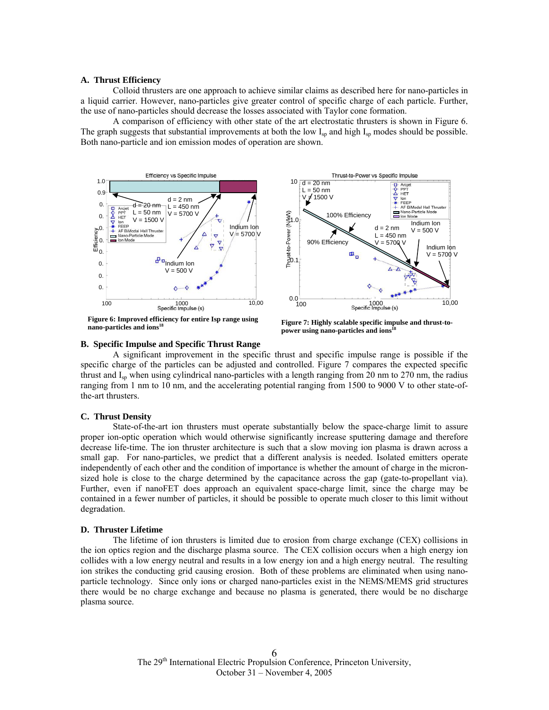### **A. Thrust Efficiency**

Colloid thrusters are one approach to achieve similar claims as described here for nano-particles in a liquid carrier. However, nano-particles give greater control of specific charge of each particle. Further, the use of nano-particles should decrease the losses associated with Taylor cone formation.

A comparison of efficiency with other state of the art electrostatic thrusters is shown in Figure 6. The graph suggests that substantial improvements at both the low  $I_{\rm SD}$  and high  $I_{\rm SD}$  modes should be possible. Both nano-particle and ion emission modes of operation are shown.



**Figure 6: Improved efficiency for entire Isp range using nano-particles and ions<sup>18</sup>**

**Figure 7: Highly scalable specific impulse and thrust-topower using nano-particles and ions 18**

## **B. Specific Impulse and Specific Thrust Range**

A significant improvement in the specific thrust and specific impulse range is possible if the specific charge of the particles can be adjusted and controlled. Figure 7 compares the expected specific thrust and  $I_{\rm SD}$  when using cylindrical nano-particles with a length ranging from 20 nm to 270 nm, the radius ranging from 1 nm to 10 nm, and the accelerating potential ranging from 1500 to 9000 V to other state-ofthe-art thrusters.

#### **C. Thrust Density**

State-of-the-art ion thrusters must operate substantially below the space-charge limit to assure proper ion-optic operation which would otherwise significantly increase sputtering damage and therefore decrease life-time. The ion thruster architecture is such that a slow moving ion plasma is drawn across a small gap. For nano-particles, we predict that a different analysis is needed. Isolated emitters operate independently of each other and the condition of importance is whether the amount of charge in the micronsized hole is close to the charge determined by the capacitance across the gap (gate-to-propellant via). Further, even if nanoFET does approach an equivalent space-charge limit, since the charge may be contained in a fewer number of particles, it should be possible to operate much closer to this limit without degradation.

#### **D. Thruster Lifetime**

The lifetime of ion thrusters is limited due to erosion from charge exchange (CEX) collisions in the ion optics region and the discharge plasma source. The CEX collision occurs when a high energy ion collides with a low energy neutral and results in a low energy ion and a high energy neutral. The resulting ion strikes the conducting grid causing erosion. Both of these problems are eliminated when using nanoparticle technology. Since only ions or charged nano-particles exist in the NEMS/MEMS grid structures there would be no charge exchange and because no plasma is generated, there would be no discharge plasma source.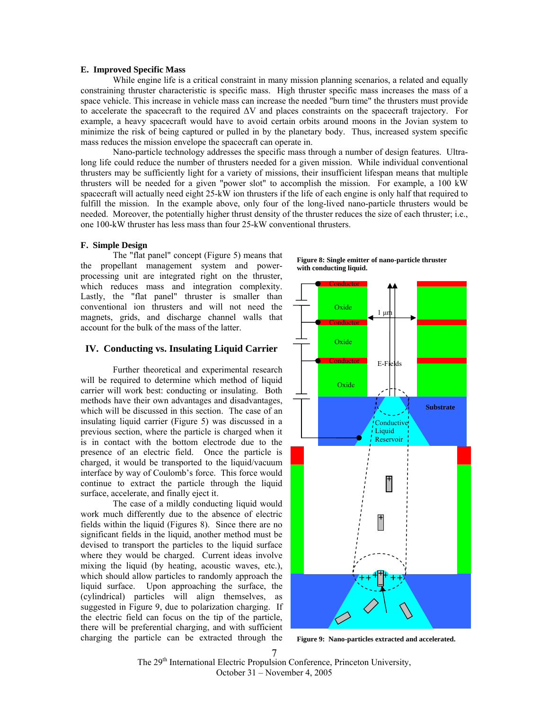## **E. Improved Specific Mass**

While engine life is a critical constraint in many mission planning scenarios, a related and equally constraining thruster characteristic is specific mass. High thruster specific mass increases the mass of a space vehicle. This increase in vehicle mass can increase the needed "burn time" the thrusters must provide to accelerate the spacecraft to the required ∆V and places constraints on the spacecraft trajectory. For example, a heavy spacecraft would have to avoid certain orbits around moons in the Jovian system to minimize the risk of being captured or pulled in by the planetary body. Thus, increased system specific mass reduces the mission envelope the spacecraft can operate in.

Nano-particle technology addresses the specific mass through a number of design features. Ultralong life could reduce the number of thrusters needed for a given mission. While individual conventional thrusters may be sufficiently light for a variety of missions, their insufficient lifespan means that multiple thrusters will be needed for a given "power slot" to accomplish the mission. For example, a 100 kW spacecraft will actually need eight 25-kW ion thrusters if the life of each engine is only half that required to fulfill the mission. In the example above, only four of the long-lived nano-particle thrusters would be needed. Moreover, the potentially higher thrust density of the thruster reduces the size of each thruster; i.e., one 100-kW thruster has less mass than four 25-kW conventional thrusters.

### **F. Simple Design**

The "flat panel" concept (Figure 5) means that the propellant management system and powerprocessing unit are integrated right on the thruster, which reduces mass and integration complexity. Lastly, the "flat panel" thruster is smaller than conventional ion thrusters and will not need the magnets, grids, and discharge channel walls that account for the bulk of the mass of the latter.

## **IV. Conducting vs. Insulating Liquid Carrier**

Further theoretical and experimental research will be required to determine which method of liquid carrier will work best: conducting or insulating. Both methods have their own advantages and disadvantages, which will be discussed in this section. The case of an insulating liquid carrier (Figure 5) was discussed in a previous section, where the particle is charged when it is in contact with the bottom electrode due to the presence of an electric field. Once the particle is charged, it would be transported to the liquid/vacuum interface by way of Coulomb's force. This force would continue to extract the particle through the liquid surface, accelerate, and finally eject it.

The case of a mildly conducting liquid would work much differently due to the absence of electric fields within the liquid (Figures 8). Since there are no significant fields in the liquid, another method must be devised to transport the particles to the liquid surface where they would be charged. Current ideas involve mixing the liquid (by heating, acoustic waves, etc.), which should allow particles to randomly approach the liquid surface. Upon approaching the surface, the (cylindrical) particles will align themselves, as suggested in Figure 9, due to polarization charging. If the electric field can focus on the tip of the particle, there will be preferential charging, and with sufficient charging the particle can be extracted through the **Figure 9: Nano-particles extracted and accelerated.**



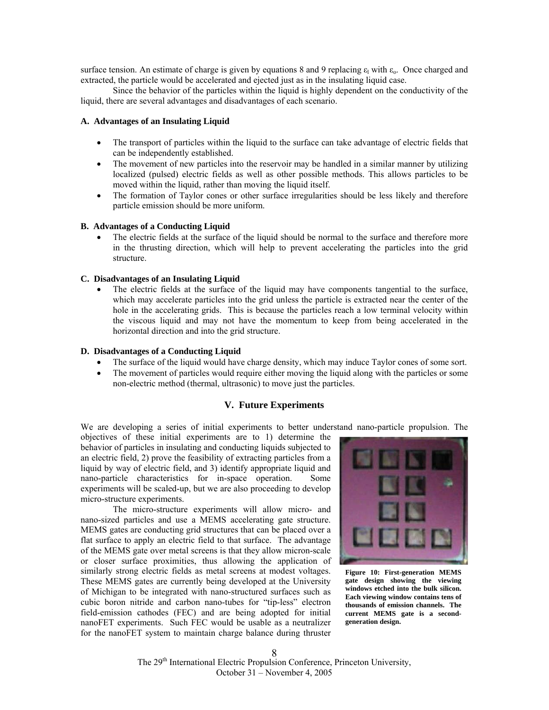surface tension. An estimate of charge is given by equations 8 and 9 replacing  $\varepsilon_1$  with  $\varepsilon_0$ . Once charged and extracted, the particle would be accelerated and ejected just as in the insulating liquid case.

Since the behavior of the particles within the liquid is highly dependent on the conductivity of the liquid, there are several advantages and disadvantages of each scenario.

# **A. Advantages of an Insulating Liquid**

- The transport of particles within the liquid to the surface can take advantage of electric fields that can be independently established.
- The movement of new particles into the reservoir may be handled in a similar manner by utilizing localized (pulsed) electric fields as well as other possible methods. This allows particles to be moved within the liquid, rather than moving the liquid itself.
- The formation of Taylor cones or other surface irregularities should be less likely and therefore particle emission should be more uniform.

## **B. Advantages of a Conducting Liquid**

• The electric fields at the surface of the liquid should be normal to the surface and therefore more in the thrusting direction, which will help to prevent accelerating the particles into the grid structure.

## **C. Disadvantages of an Insulating Liquid**

The electric fields at the surface of the liquid may have components tangential to the surface, which may accelerate particles into the grid unless the particle is extracted near the center of the hole in the accelerating grids. This is because the particles reach a low terminal velocity within the viscous liquid and may not have the momentum to keep from being accelerated in the horizontal direction and into the grid structure.

# **D. Disadvantages of a Conducting Liquid**

- The surface of the liquid would have charge density, which may induce Taylor cones of some sort.
- The movement of particles would require either moving the liquid along with the particles or some non-electric method (thermal, ultrasonic) to move just the particles.

# **V. Future Experiments**

We are developing a series of initial experiments to better understand nano-particle propulsion. The

objectives of these initial experiments are to 1) determine the behavior of particles in insulating and conducting liquids subjected to an electric field, 2) prove the feasibility of extracting particles from a liquid by way of electric field, and 3) identify appropriate liquid and nano-particle characteristics for in-space operation. Some experiments will be scaled-up, but we are also proceeding to develop micro-structure experiments.

The micro-structure experiments will allow micro- and nano-sized particles and use a MEMS accelerating gate structure. MEMS gates are conducting grid structures that can be placed over a flat surface to apply an electric field to that surface. The advantage of the MEMS gate over metal screens is that they allow micron-scale or closer surface proximities, thus allowing the application of similarly strong electric fields as metal screens at modest voltages. These MEMS gates are currently being developed at the University of Michigan to be integrated with nano-structured surfaces such as cubic boron nitride and carbon nano-tubes for "tip-less" electron field-emission cathodes (FEC) and are being adopted for initial nanoFET experiments. Such FEC would be usable as a neutralizer for the nanoFET system to maintain charge balance during thruster



**Figure 10: First-generation MEMS gate design showing the viewing windows etched into the bulk silicon. Each viewing window contains tens of thousands of emission channels. The current MEMS gate is a secondgeneration design.**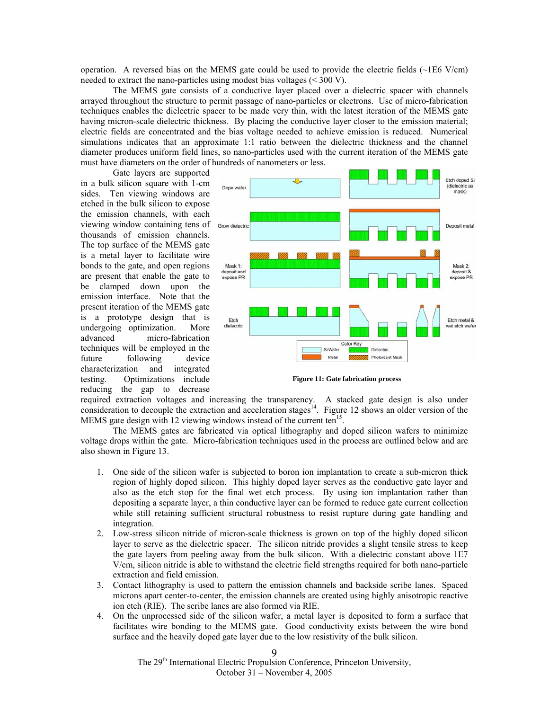operation. A reversed bias on the MEMS gate could be used to provide the electric fields  $(\sim 1E6 \text{ V/cm})$ needed to extract the nano-particles using modest bias voltages (< 300 V).

The MEMS gate consists of a conductive layer placed over a dielectric spacer with channels arrayed throughout the structure to permit passage of nano-particles or electrons. Use of micro-fabrication techniques enables the dielectric spacer to be made very thin, with the latest iteration of the MEMS gate having micron-scale dielectric thickness. By placing the conductive layer closer to the emission material; electric fields are concentrated and the bias voltage needed to achieve emission is reduced. Numerical simulations indicates that an approximate 1:1 ratio between the dielectric thickness and the channel diameter produces uniform field lines, so nano-particles used with the current iteration of the MEMS gate must have diameters on the order of hundreds of nanometers or less.

Gate layers are supported in a bulk silicon square with 1-cm sides. Ten viewing windows are etched in the bulk silicon to expose the emission channels, with each viewing window containing tens of thousands of emission channels. The top surface of the MEMS gate is a metal layer to facilitate wire bonds to the gate, and open regions are present that enable the gate to be clamped down upon the emission interface. Note that the present iteration of the MEMS gate is a prototype design that is undergoing optimization. More advanced micro-fabrication techniques will be employed in the future following device characterization and integrated testing. Optimizations include reducing the gap to decrease



**Figure 11: Gate fabrication process** 

required extraction voltages and increasing the transparency. A stacked gate design is also under consideration to decouple the extraction and acceleration stages<sup>14</sup>. Figure 12 shows an older version of the MEMS gate design with 12 viewing windows instead of the current ten<sup>15</sup>.

The MEMS gates are fabricated via optical lithography and doped silicon wafers to minimize voltage drops within the gate. Micro-fabrication techniques used in the process are outlined below and are also shown in Figure 13.

- 1. One side of the silicon wafer is subjected to boron ion implantation to create a sub-micron thick region of highly doped silicon. This highly doped layer serves as the conductive gate layer and also as the etch stop for the final wet etch process. By using ion implantation rather than depositing a separate layer, a thin conductive layer can be formed to reduce gate current collection while still retaining sufficient structural robustness to resist rupture during gate handling and integration.
- 2. Low-stress silicon nitride of micron-scale thickness is grown on top of the highly doped silicon layer to serve as the dielectric spacer. The silicon nitride provides a slight tensile stress to keep the gate layers from peeling away from the bulk silicon. With a dielectric constant above 1E7 V/cm, silicon nitride is able to withstand the electric field strengths required for both nano-particle extraction and field emission.
- 3. Contact lithography is used to pattern the emission channels and backside scribe lanes. Spaced microns apart center-to-center, the emission channels are created using highly anisotropic reactive ion etch (RIE). The scribe lanes are also formed via RIE.
- 4. On the unprocessed side of the silicon wafer, a metal layer is deposited to form a surface that facilitates wire bonding to the MEMS gate. Good conductivity exists between the wire bond surface and the heavily doped gate layer due to the low resistivity of the bulk silicon.

The 29<sup>th</sup> International Electric Propulsion Conference, Princeton University, October 31 – November 4, 2005

#### $\Omega$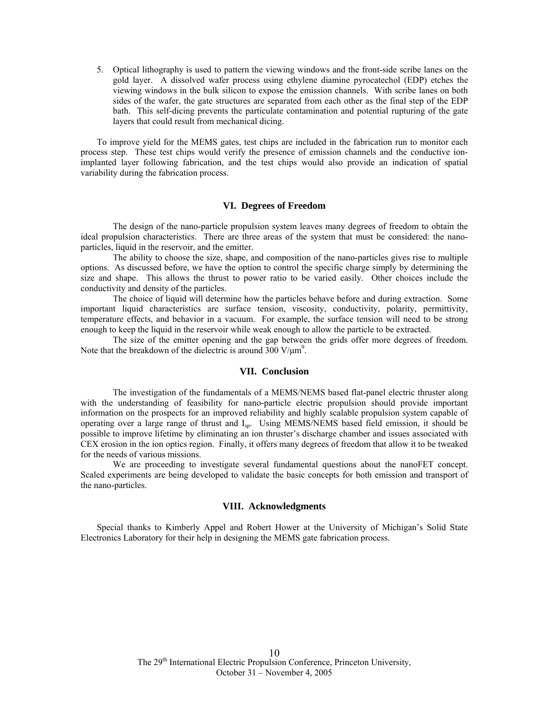5. Optical lithography is used to pattern the viewing windows and the front-side scribe lanes on the gold layer. A dissolved wafer process using ethylene diamine pyrocatechol (EDP) etches the viewing windows in the bulk silicon to expose the emission channels. With scribe lanes on both sides of the wafer, the gate structures are separated from each other as the final step of the EDP bath. This self-dicing prevents the particulate contamination and potential rupturing of the gate layers that could result from mechanical dicing.

To improve yield for the MEMS gates, test chips are included in the fabrication run to monitor each process step. These test chips would verify the presence of emission channels and the conductive ionimplanted layer following fabrication, and the test chips would also provide an indication of spatial variability during the fabrication process.

### **VI. Degrees of Freedom**

The design of the nano-particle propulsion system leaves many degrees of freedom to obtain the ideal propulsion characteristics. There are three areas of the system that must be considered: the nanoparticles, liquid in the reservoir, and the emitter.

The ability to choose the size, shape, and composition of the nano-particles gives rise to multiple options. As discussed before, we have the option to control the specific charge simply by determining the size and shape. This allows the thrust to power ratio to be varied easily. Other choices include the conductivity and density of the particles.

The choice of liquid will determine how the particles behave before and during extraction. Some important liquid characteristics are surface tension, viscosity, conductivity, polarity, permittivity, temperature effects, and behavior in a vacuum. For example, the surface tension will need to be strong enough to keep the liquid in the reservoir while weak enough to allow the particle to be extracted.

The size of the emitter opening and the gap between the grids offer more degrees of freedom. Note that the breakdown of the dielectric is around  $300 \text{ V/µm}^9$ .

## **VII. Conclusion**

The investigation of the fundamentals of a MEMS/NEMS based flat-panel electric thruster along with the understanding of feasibility for nano-particle electric propulsion should provide important information on the prospects for an improved reliability and highly scalable propulsion system capable of operating over a large range of thrust and I<sub>sp</sub>. Using MEMS/NEMS based field emission, it should be possible to improve lifetime by eliminating an ion thruster's discharge chamber and issues associated with CEX erosion in the ion optics region. Finally, it offers many degrees of freedom that allow it to be tweaked for the needs of various missions.

We are proceeding to investigate several fundamental questions about the nanoFET concept. Scaled experiments are being developed to validate the basic concepts for both emission and transport of the nano-particles.

#### **VIII. Acknowledgments**

Special thanks to Kimberly Appel and Robert Hower at the University of Michigan's Solid State Electronics Laboratory for their help in designing the MEMS gate fabrication process.